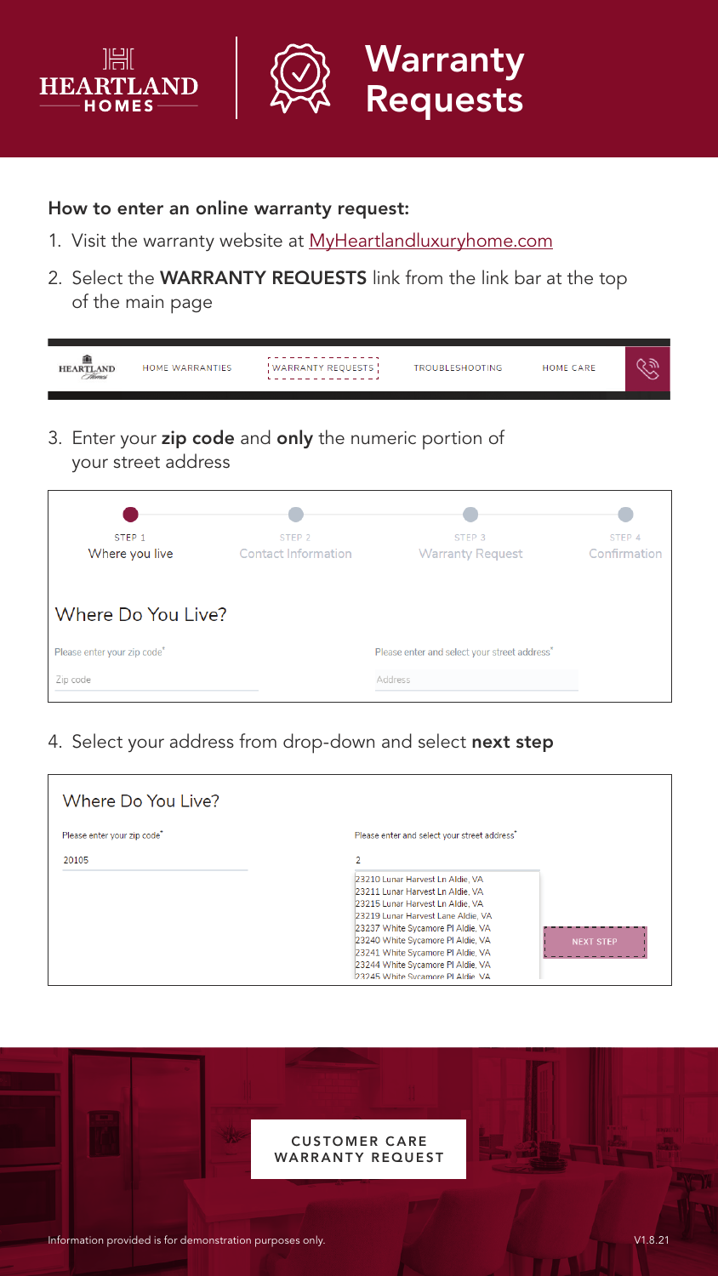



How to enter an online warranty request:

- 1. Visit the warranty website at [MyHeartlandluxuryhome.com](https://wecare.heartlandluxuryhomes.com/pdf-warranty)
- 2. Select the WARRANTY REQUESTS link from the link bar at the top of the main page

| <b>HEARTLAND</b>                        | <b>HOME WARRANTIES</b> | <b>WARRANTY REQUESTS</b>                        | <b>TROUBLESHOOTING</b>                                   | <b>HOME CARE</b> |                        |
|-----------------------------------------|------------------------|-------------------------------------------------|----------------------------------------------------------|------------------|------------------------|
|                                         |                        |                                                 | 3. Enter your zip code and only the numeric portion of   |                  |                        |
|                                         | your street address    |                                                 |                                                          |                  |                        |
|                                         |                        |                                                 |                                                          |                  |                        |
| STEP <sub>1</sub><br>Where you live     |                        | STEP <sub>2</sub><br><b>Contact Information</b> | STEP <sub>3</sub><br><b>Warranty Request</b>             |                  | STEP 4<br>Confirmation |
|                                         |                        |                                                 |                                                          |                  |                        |
|                                         | Where Do You Live?     |                                                 |                                                          |                  |                        |
| Please enter your zip code <sup>*</sup> |                        |                                                 | Please enter and select your street address <sup>*</sup> |                  |                        |
| Zip code                                |                        |                                                 | Address                                                  |                  |                        |

4. Select your address from drop-down and select next step



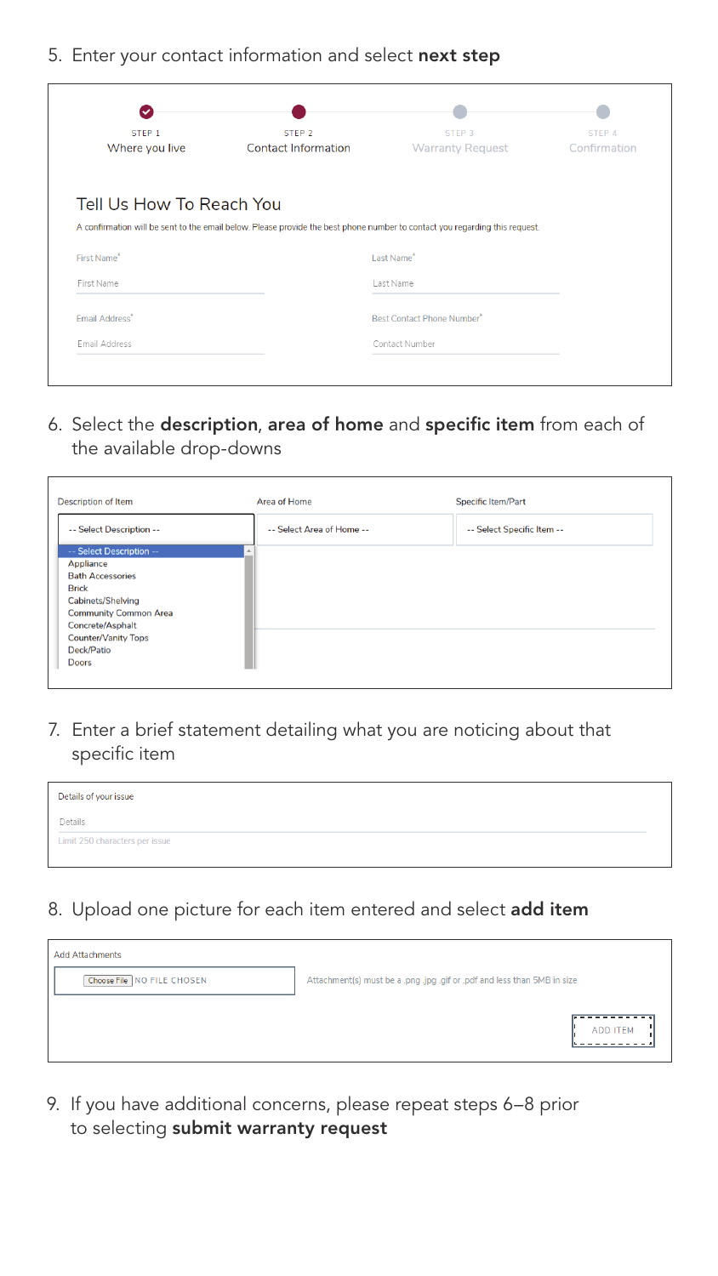## 5. Enter your contact information and select next step

| STEP <sub>1</sub>          | STEP <sub>2</sub>                                                                                                           | STEP <sub>3</sub>                 | STEP 4       |
|----------------------------|-----------------------------------------------------------------------------------------------------------------------------|-----------------------------------|--------------|
| Where you live             | <b>Contact Information</b>                                                                                                  | <b>Warranty Request</b>           | Confirmation |
| Tell Us How To Reach You   |                                                                                                                             |                                   |              |
|                            |                                                                                                                             |                                   |              |
|                            |                                                                                                                             |                                   |              |
|                            | A confirmation will be sent to the email below. Please provide the best phone number to contact you regarding this request. |                                   |              |
|                            |                                                                                                                             | Last Name <sup>*</sup>            |              |
| First Name*<br>First Name  |                                                                                                                             | Last Name                         |              |
| Email Address <sup>*</sup> |                                                                                                                             | <b>Best Contact Phone Number*</b> |              |

6. Select the description, area of home and specific item from each of the available drop-downs

| <b>Description of Item</b>                                                                                                                                                                                            | Area of Home              | <b>Specific Item/Part</b>  |
|-----------------------------------------------------------------------------------------------------------------------------------------------------------------------------------------------------------------------|---------------------------|----------------------------|
| -- Select Description --                                                                                                                                                                                              | -- Select Area of Home -- | -- Select Specific Item -- |
| -- Select Description --<br>Appliance<br><b>Bath Accessories</b><br><b>Brick</b><br>Cabinets/Shelving<br><b>Community Common Area</b><br>Concrete/Asphalt<br><b>Counter/Vanity Tops</b><br>Deck/Patio<br><b>Doors</b> |                           |                            |

7. Enter a brief statement detailing what you are noticing about that specific item

| Details of your issue          |
|--------------------------------|
| Details                        |
| Limit 250 characters per issue |

## 8. Upload one picture for each item entered and select add item

| <b>Add Attachments</b>     |                                                                          |                 |
|----------------------------|--------------------------------------------------------------------------|-----------------|
| Choose File NO FILE CHOSEN | Attachment(s) must be a .png .jpg .gif or .pdf and less than 5MB in size |                 |
|                            |                                                                          |                 |
|                            |                                                                          | <b>ADD ITEM</b> |
|                            |                                                                          |                 |

9. If you have additional concerns, please repeat steps 6–8 prior to selecting submit warranty request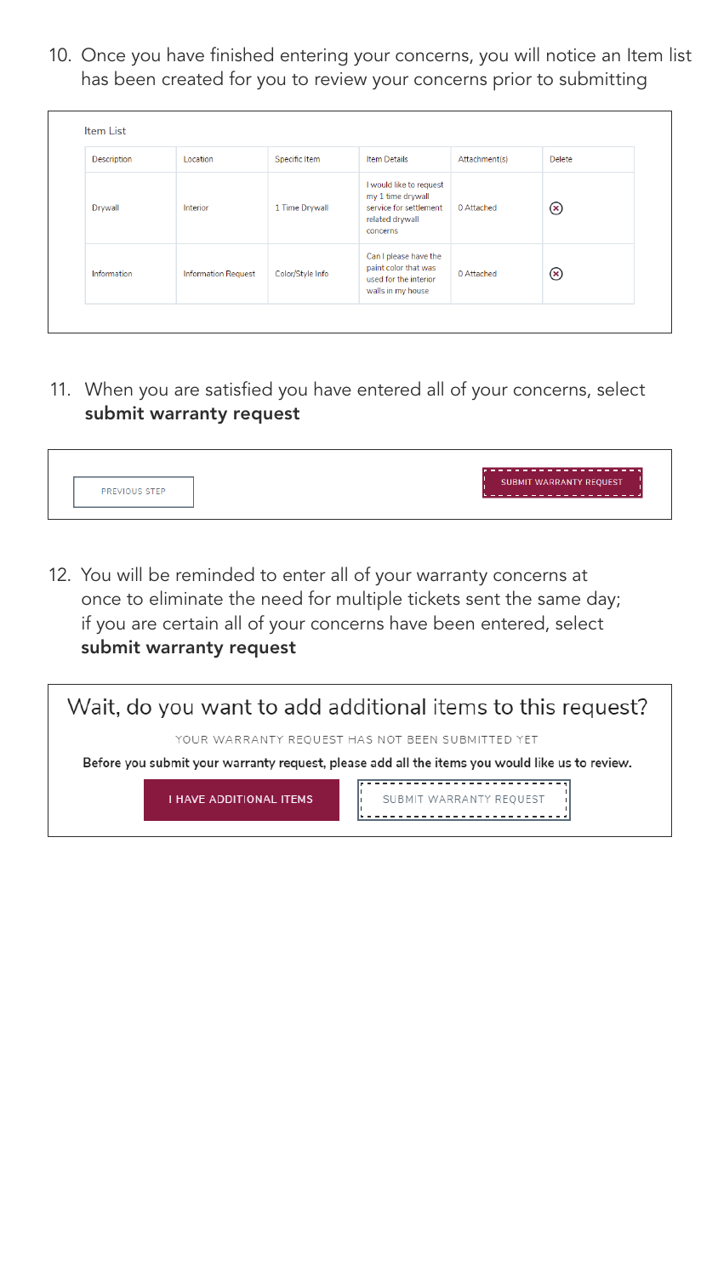10. Once you have finished entering your concerns, you will notice an Item list has been created for you to review your concerns prior to submitting

| Description | Location                   | Specific Item    | <b>Item Details</b>                                                                                   | Attachment(s) | Delete       |
|-------------|----------------------------|------------------|-------------------------------------------------------------------------------------------------------|---------------|--------------|
| Drywall     | <b>Interior</b>            | 1 Time Drywall   | I would like to request<br>my 1 time drywall<br>service for settlement<br>related drywall<br>concerns | 0 Attached    | $^\circledR$ |
| Information | <b>Information Request</b> | Color/Style Info | Can I please have the<br>paint color that was<br>used for the interior<br>walls in my house           | 0 Attached    | $\bf{z}$     |

11. When you are satisfied you have entered all of your concerns, select submit warranty request



12. You will be reminded to enter all of your warranty concerns at once to eliminate the need for multiple tickets sent the same day; if you are certain all of your concerns have been entered, select submit warranty request